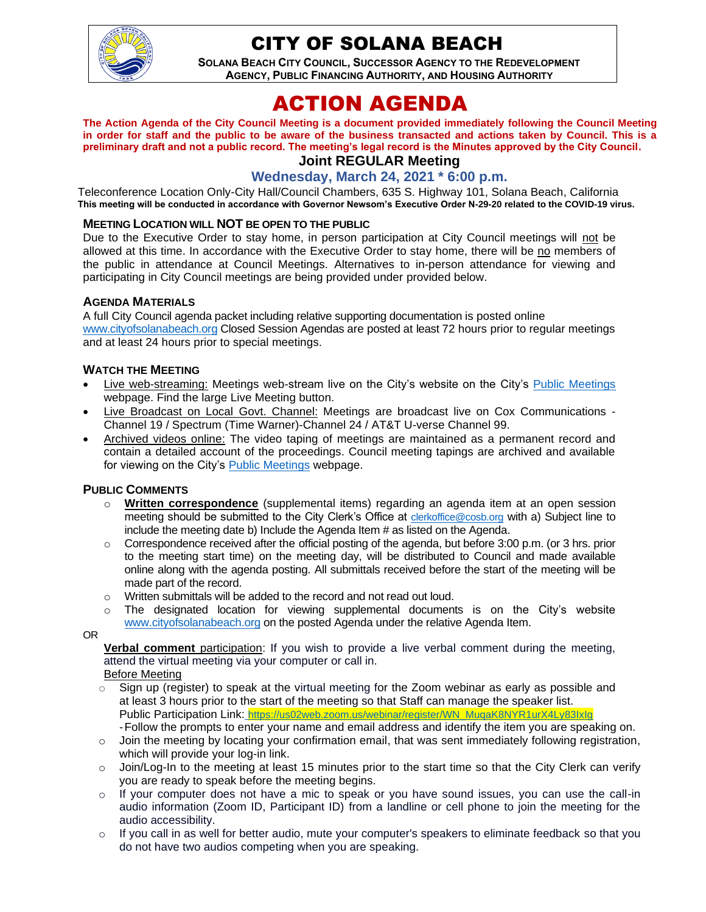

# CITY OF SOLANA BEACH

**SOLANA BEACH CITY COUNCIL, SUCCESSOR AGENCY TO THE REDEVELOPMENT AGENCY, PUBLIC FINANCING AUTHORITY, AND HOUSING AUTHORITY** 

# ACTION AGENDA

**The Action Agenda of the City Council Meeting is a document provided immediately following the Council Meeting in order for staff and the public to be aware of the business transacted and actions taken by Council. This is a preliminary draft and not a public record. The meeting's legal record is the Minutes approved by the City Council.**

# **Joint REGULAR Meeting**

# **Wednesday, March 24, 2021 \* 6:00 p.m.**

Teleconference Location Only-City Hall/Council Chambers, 635 S. Highway 101, Solana Beach, California **This meeting will be conducted in accordance with Governor Newsom's Executive Order N-29-20 related to the COVID-19 virus.**

#### **MEETING LOCATION WILL NOT BE OPEN TO THE PUBLIC**

Due to the Executive Order to stay home, in person participation at City Council meetings will not be allowed at this time. In accordance with the Executive Order to stay home, there will be no members of the public in attendance at Council Meetings. Alternatives to in-person attendance for viewing and participating in City Council meetings are being provided under provided below.

#### **AGENDA MATERIALS**

A full City Council agenda packet including relative supporting documentation is posted online [www.cityofsolanabeach.org](http://www.cityofsolanabeach.org/) Closed Session Agendas are posted at least 72 hours prior to regular meetings and at least 24 hours prior to special meetings.

#### **WATCH THE MEETING**

- Live web-streaming: Meetings web-stream live on the City's website on the City's [Public Meetings](https://urldefense.proofpoint.com/v2/url?u=https-3A__www.ci.solana-2Dbeach.ca.us_index.asp-3FSEC-3DF0F1200D-2D21C6-2D4A88-2D8AE1-2D0BC07C1A81A7-26Type-3DB-5FBASIC&d=DwMFAg&c=euGZstcaTDllvimEN8b7jXrwqOf-v5A_CdpgnVfiiMM&r=1XAsCUuqwK_tji2t0s1uIQ&m=wny2RVfZJ2tN24LkqZmkUWNpwL_peNtTZUBlTBZiMM4&s=WwpcEQpHHkFen6nS6q2waMuQ_VMZ-i1YZ60lD-dYRRE&e=) webpage. Find the large Live Meeting button.
- Live Broadcast on Local Govt. Channel: Meetings are broadcast live on Cox Communications Channel 19 / Spectrum (Time Warner)-Channel 24 / AT&T U-verse Channel 99.
- Archived videos online: The video taping of meetings are maintained as a permanent record and contain a detailed account of the proceedings. Council meeting tapings are archived and available for viewing on the City's [Public Meetings](https://urldefense.proofpoint.com/v2/url?u=https-3A__www.ci.solana-2Dbeach.ca.us_index.asp-3FSEC-3DF0F1200D-2D21C6-2D4A88-2D8AE1-2D0BC07C1A81A7-26Type-3DB-5FBASIC&d=DwMFAg&c=euGZstcaTDllvimEN8b7jXrwqOf-v5A_CdpgnVfiiMM&r=1XAsCUuqwK_tji2t0s1uIQ&m=wny2RVfZJ2tN24LkqZmkUWNpwL_peNtTZUBlTBZiMM4&s=WwpcEQpHHkFen6nS6q2waMuQ_VMZ-i1YZ60lD-dYRRE&e=) webpage.

#### **PUBLIC COMMENTS**

- o **Written correspondence** (supplemental items) regarding an agenda item at an open session meeting should be submitted to the City Clerk's Office at [clerkoffice@cosb.org](mailto:clerkoffice@cosb.org) with a) Subject line to include the meeting date b) Include the Agenda Item # as listed on the Agenda.
- $\circ$  Correspondence received after the official posting of the agenda, but before 3:00 p.m. (or 3 hrs. prior to the meeting start time) on the meeting day, will be distributed to Council and made available online along with the agenda posting. All submittals received before the start of the meeting will be made part of the record.
- o Written submittals will be added to the record and not read out loud.
- $\circ$  The designated location for viewing supplemental documents is on the City's website [www.cityofsolanabeach.org](http://www.cityofsolanabeach.org/) on the posted Agenda under the relative Agenda Item.

OR

**Verbal comment** participation: If you wish to provide a live verbal comment during the meeting, attend the virtual meeting via your computer or call in.

Before Meeting

- $\circ$  Sign up (register) to speak at the virtual meeting for the Zoom webinar as early as possible and at least 3 hours prior to the start of the meeting so that Staff can manage the speaker list. Public Participation Link: [https://us02web.zoom.us/webinar/register/WN\\_MuqaK8NYR1urX4Ly83IxIg](https://us02web.zoom.us/webinar/register/WN_MuqaK8NYR1urX4Ly83IxIg) -Follow the prompts to enter your name and email address and identify the item you are speaking on.
- o Join the meeting by locating your confirmation email, that was sent immediately following registration, which will provide your log-in link.
- $\circ$  Join/Log-In to the meeting at least 15 minutes prior to the start time so that the City Clerk can verify you are ready to speak before the meeting begins.
- $\circ$  If your computer does not have a mic to speak or you have sound issues, you can use the call-in audio information (Zoom ID, Participant ID) from a landline or cell phone to join the meeting for the audio accessibility.
- $\circ$  If you call in as well for better audio, mute your computer's speakers to eliminate feedback so that you do not have two audios competing when you are speaking.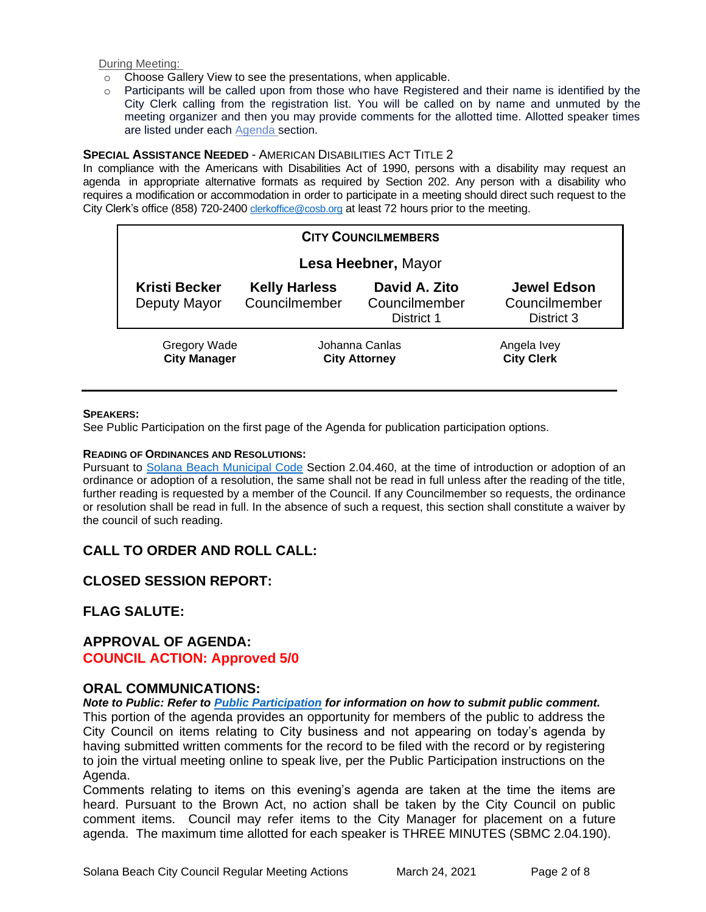During Meeting:

- o Choose Gallery View to see the presentations, when applicable.
- o Participants will be called upon from those who have Registered and their name is identified by the City Clerk calling from the registration list. You will be called on by name and unmuted by the meeting organizer and then you may provide comments for the allotted time. Allotted speaker times are listed under each [Agenda s](https://urldefense.proofpoint.com/v2/url?u=https-3A__www.ci.solana-2Dbeach.ca.us_index.asp-3FSEC-3DF0F1200D-2D21C6-2D4A88-2D8AE1-2D0BC07C1A81A7-26Type-3DB-5FBASIC&d=DwMFaQ&c=euGZstcaTDllvimEN8b7jXrwqOf-v5A_CdpgnVfiiMM&r=1XAsCUuqwK_tji2t0s1uIQ&m=C7WzXfOw2_nkEFMJClT55zZsF4tmIf_7KTn0o1WpYqI&s=3DcsWExM2_nx_xpvFtXslUjphiXd0MDCCF18y_Qy5yU&e=)ection.

#### **SPECIAL ASSISTANCE NEEDED** - AMERICAN DISABILITIES ACT TITLE 2

In compliance with the Americans with Disabilities Act of 1990, persons with a disability may request an agenda in appropriate alternative formats as required by Section 202. Any person with a disability who requires a modification or accommodation in order to participate in a meeting should direct such request to the City Clerk's office (858) 720-2400 [clerkoffice@cosb.org](mailto:EMAILGRP-CityClerksOfc@cosb.org) at least 72 hours prior to the meeting.

| <b>CITY COUNCILMEMBERS</b>                 |                                        |                                              |                                                   |
|--------------------------------------------|----------------------------------------|----------------------------------------------|---------------------------------------------------|
| Lesa Heebner, Mayor                        |                                        |                                              |                                                   |
| <b>Kristi Becker</b><br>Deputy Mayor       | <b>Kelly Harless</b><br>Councilmember  | David A. Zito<br>Councilmember<br>District 1 | <b>Jewel Edson</b><br>Councilmember<br>District 3 |
| <b>Gregory Wade</b><br><b>City Manager</b> | Johanna Canlas<br><b>City Attorney</b> |                                              | Angela Ivey<br><b>City Clerk</b>                  |

#### **SPEAKERS:**

See Public Participation on the first page of the Agenda for publication participation options.

#### **READING OF ORDINANCES AND RESOLUTIONS:**

Pursuant to Solana Beach [Municipal Code](https://www.codepublishing.com/CA/SolanaBeach/) Section 2.04.460, at the time of introduction or adoption of an ordinance or adoption of a resolution, the same shall not be read in full unless after the reading of the title, further reading is requested by a member of the Council. If any Councilmember so requests, the ordinance or resolution shall be read in full. In the absence of such a request, this section shall constitute a waiver by the council of such reading.

# **CALL TO ORDER AND ROLL CALL:**

# **CLOSED SESSION REPORT:**

# **FLAG SALUTE:**

# **APPROVAL OF AGENDA: COUNCIL ACTION: Approved 5/0**

### **ORAL COMMUNICATIONS:**

*Note to Public: Refer to Public Participation for information on how to submit public comment.*  This portion of the agenda provides an opportunity for members of the public to address the City Council on items relating to City business and not appearing on today's agenda by having submitted written comments for the record to be filed with the record or by registering to join the virtual meeting online to speak live, per the Public Participation instructions on the Agenda.

Comments relating to items on this evening's agenda are taken at the time the items are heard. Pursuant to the Brown Act, no action shall be taken by the City Council on public comment items. Council may refer items to the City Manager for placement on a future agenda. The maximum time allotted for each speaker is THREE MINUTES (SBMC 2.04.190).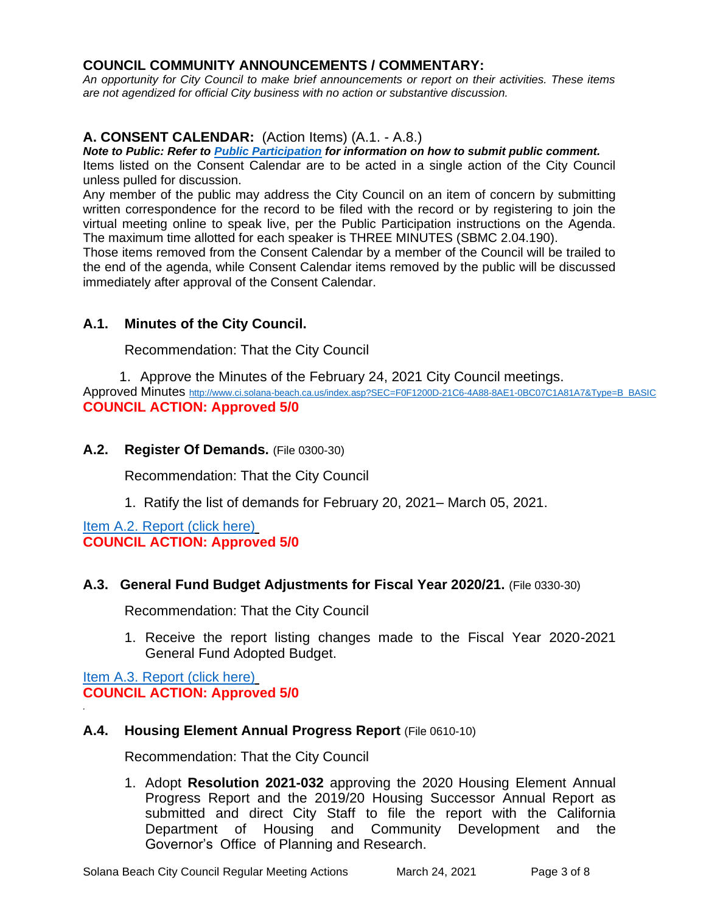# **COUNCIL COMMUNITY ANNOUNCEMENTS / COMMENTARY:**

*An opportunity for City Council to make brief announcements or report on their activities. These items are not agendized for official City business with no action or substantive discussion.* 

# **A. CONSENT CALENDAR:** (Action Items) (A.1. - A.8.)

*Note to Public: Refer to Public Participation for information on how to submit public comment.*  Items listed on the Consent Calendar are to be acted in a single action of the City Council unless pulled for discussion.

Any member of the public may address the City Council on an item of concern by submitting written correspondence for the record to be filed with the record or by registering to join the virtual meeting online to speak live, per the Public Participation instructions on the Agenda. The maximum time allotted for each speaker is THREE MINUTES (SBMC 2.04.190).

Those items removed from the Consent Calendar by a member of the Council will be trailed to the end of the agenda, while Consent Calendar items removed by the public will be discussed immediately after approval of the Consent Calendar.

# **A.1. Minutes of the City Council.**

Recommendation: That the City Council

1. Approve the Minutes of the February 24, 2021 City Council meetings. Approved Minutes [http://www.ci.solana-beach.ca.us/index.asp?SEC=F0F1200D-21C6-4A88-8AE1-0BC07C1A81A7&Type=B\\_BASIC](http://www.ci.solana-beach.ca.us/index.asp?SEC=F0F1200D-21C6-4A88-8AE1-0BC07C1A81A7&Type=B_BASIC) **COUNCIL ACTION: Approved 5/0**

# **A.2. Register Of Demands.** (File 0300-30)

Recommendation: That the City Council

1. Ratify the list of demands for February 20, 2021– March 05, 2021.

[Item A.2. Report \(click here\)](https://solanabeach.govoffice3.com/vertical/Sites/%7B840804C2-F869-4904-9AE3-720581350CE7%7D/uploads/Item_A.2._Report_(click_here)_03-24-21_O.pdf) **COUNCIL ACTION: Approved 5/0**

### **A.3. General Fund Budget Adjustments for Fiscal Year 2020/21.** (File 0330-30)

Recommendation: That the City Council

1. Receive the report listing changes made to the Fiscal Year 2020-2021 General Fund Adopted Budget.

[Item A.3. Report \(click here\)](https://solanabeach.govoffice3.com/vertical/Sites/%7B840804C2-F869-4904-9AE3-720581350CE7%7D/uploads/Item_A.3._Report_(click_here)_03-24-21_O.pdf) **COUNCIL ACTION: Approved 5/0**

*.*

### **A.4. Housing Element Annual Progress Report** (File 0610-10)

Recommendation: That the City Council

1. Adopt **Resolution 2021-032** approving the 2020 Housing Element Annual Progress Report and the 2019/20 Housing Successor Annual Report as submitted and direct City Staff to file the report with the California Department of Housing and Community Development and the Governor's Office of Planning and Research.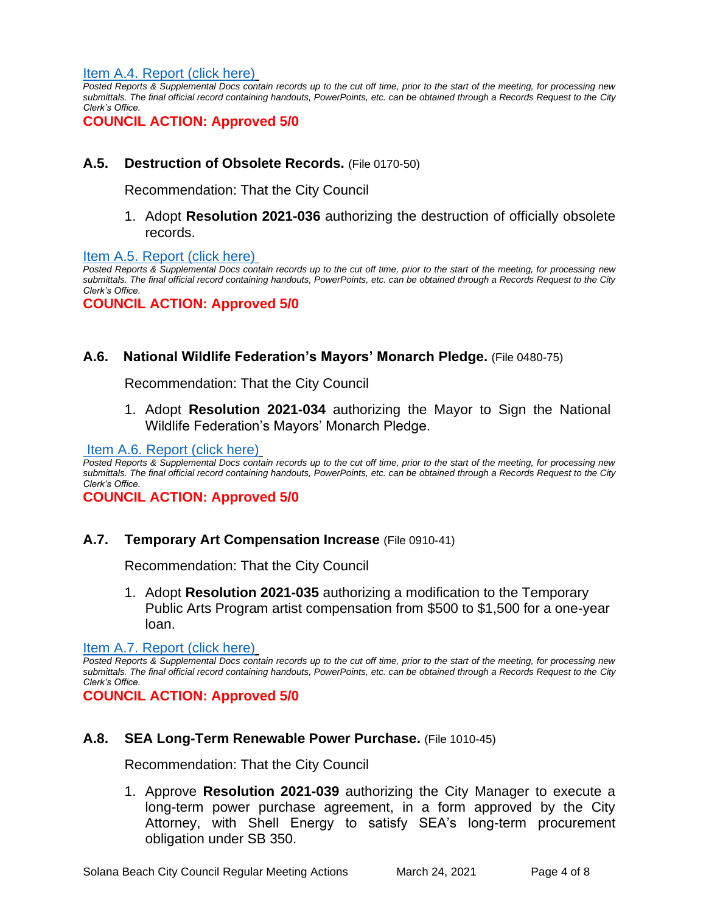[Item A.4. Report \(click here\)](https://solanabeach.govoffice3.com/vertical/Sites/%7B840804C2-F869-4904-9AE3-720581350CE7%7D/uploads/Item_A.4._Report_(click_here)_03-24-21_O.pdf)

*Posted Reports & Supplemental Docs contain records up to the cut off time, prior to the start of the meeting, for processing new submittals. The final official record containing handouts, PowerPoints, etc. can be obtained through a Records Request to the City Clerk's Office.*

**COUNCIL ACTION: Approved 5/0**

# **A.5. Destruction of Obsolete Records.** (File 0170-50)

Recommendation: That the City Council

1. Adopt **Resolution 2021-036** authorizing the destruction of officially obsolete records.

[Item A.5. Report \(click here\)](https://solanabeach.govoffice3.com/vertical/Sites/%7B840804C2-F869-4904-9AE3-720581350CE7%7D/uploads/Item_A.5._Report_(click_here)_03-24-21_O.pdf)

*Posted Reports & Supplemental Docs contain records up to the cut off time, prior to the start of the meeting, for processing new submittals. The final official record containing handouts, PowerPoints, etc. can be obtained through a Records Request to the City Clerk's Office.*

**COUNCIL ACTION: Approved 5/0**

### **A.6. National Wildlife Federation's Mayors' Monarch Pledge.** (File 0480-75)

Recommendation: That the City Council

1. Adopt **Resolution 2021-034** authorizing the Mayor to Sign the National Wildlife Federation's Mayors' Monarch Pledge.

[Item A.6. Report \(click here\)](https://solanabeach.govoffice3.com/vertical/Sites/%7B840804C2-F869-4904-9AE3-720581350CE7%7D/uploads/Item_A.6._Report_(click_here)_03-24-21_O.pdf)

*Posted Reports & Supplemental Docs contain records up to the cut off time, prior to the start of the meeting, for processing new submittals. The final official record containing handouts, PowerPoints, etc. can be obtained through a Records Request to the City Clerk's Office.*

**COUNCIL ACTION: Approved 5/0**

### **A.7. Temporary Art Compensation Increase** (File 0910-41)

Recommendation: That the City Council

1. Adopt **Resolution 2021-035** authorizing a modification to the Temporary Public Arts Program artist compensation from \$500 to \$1,500 for a one-year loan.

[Item A.7. Report \(click here\)](https://solanabeach.govoffice3.com/vertical/Sites/%7B840804C2-F869-4904-9AE3-720581350CE7%7D/uploads/Item_A.7._Report_(click_here)_03-24-21_O.pdf)

*Posted Reports & Supplemental Docs contain records up to the cut off time, prior to the start of the meeting, for processing new submittals. The final official record containing handouts, PowerPoints, etc. can be obtained through a Records Request to the City Clerk's Office.*

**COUNCIL ACTION: Approved 5/0**

### **A.8. SEA Long-Term Renewable Power Purchase.** (File 1010-45)

Recommendation: That the City Council

1. Approve **Resolution 2021-039** authorizing the City Manager to execute a long-term power purchase agreement, in a form approved by the City Attorney, with Shell Energy to satisfy SEA's long-term procurement obligation under SB 350.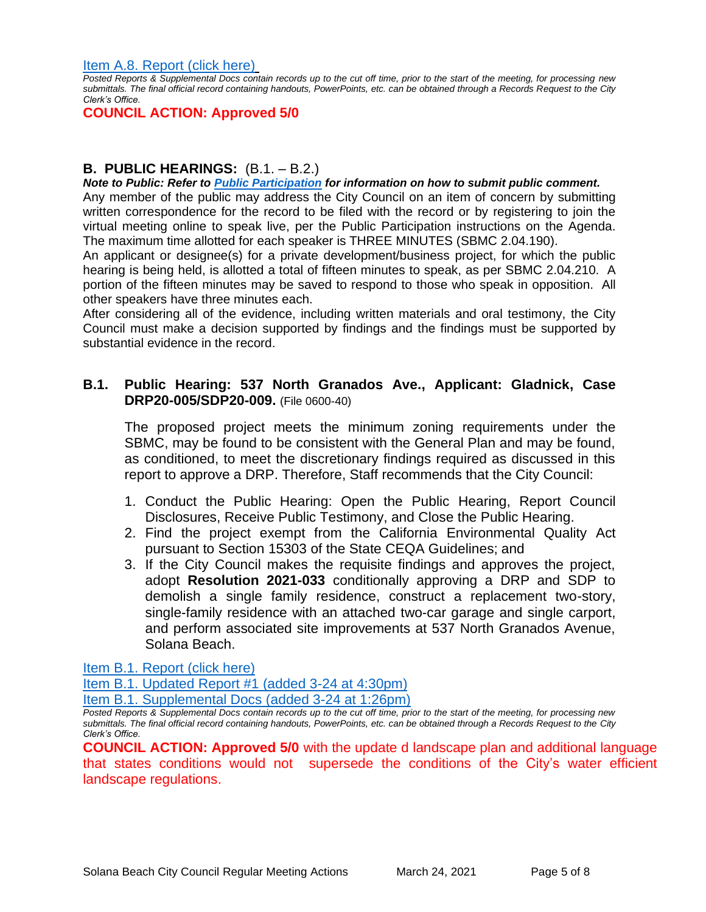[Item A.8. Report \(click here\)](https://solanabeach.govoffice3.com/vertical/Sites/%7B840804C2-F869-4904-9AE3-720581350CE7%7D/uploads/Item_A.8._Report_(click_here)_03-24-21_O.pdf)

*Posted Reports & Supplemental Docs contain records up to the cut off time, prior to the start of the meeting, for processing new submittals. The final official record containing handouts, PowerPoints, etc. can be obtained through a Records Request to the City Clerk's Office.*

**COUNCIL ACTION: Approved 5/0**

# **B. PUBLIC HEARINGS:** (B.1. – B.2.)

*Note to Public: Refer to Public Participation for information on how to submit public comment.*  Any member of the public may address the City Council on an item of concern by submitting written correspondence for the record to be filed with the record or by registering to join the virtual meeting online to speak live, per the Public Participation instructions on the Agenda. The maximum time allotted for each speaker is THREE MINUTES (SBMC 2.04.190).

An applicant or designee(s) for a private development/business project, for which the public hearing is being held, is allotted a total of fifteen minutes to speak, as per SBMC 2.04.210. A portion of the fifteen minutes may be saved to respond to those who speak in opposition. All other speakers have three minutes each.

After considering all of the evidence, including written materials and oral testimony, the City Council must make a decision supported by findings and the findings must be supported by substantial evidence in the record.

# **B.1. Public Hearing: 537 North Granados Ave., Applicant: Gladnick, Case DRP20-005/SDP20-009.** (File 0600-40)

The proposed project meets the minimum zoning requirements under the SBMC, may be found to be consistent with the General Plan and may be found, as conditioned, to meet the discretionary findings required as discussed in this report to approve a DRP. Therefore, Staff recommends that the City Council:

- 1. Conduct the Public Hearing: Open the Public Hearing, Report Council Disclosures, Receive Public Testimony, and Close the Public Hearing.
- 2. Find the project exempt from the California Environmental Quality Act pursuant to Section 15303 of the State CEQA Guidelines; and
- 3. If the City Council makes the requisite findings and approves the project, adopt **Resolution 2021-033** conditionally approving a DRP and SDP to demolish a single family residence, construct a replacement two-story, single-family residence with an attached two-car garage and single carport, and perform associated site improvements at 537 North Granados Avenue, Solana Beach.

[Item B.1. Report \(click here\)](https://solanabeach.govoffice3.com/vertical/Sites/%7B840804C2-F869-4904-9AE3-720581350CE7%7D/uploads/Item_B.1._Report_(click_here)_03-24-21_O.pdf)

[Item B.1. Updated Report #1 \(added 3-24 at 4:30pm\)](https://solanabeach.govoffice3.com/vertical/Sites/%7B840804C2-F869-4904-9AE3-720581350CE7%7D/uploads/Item_B.1._Updated_Report_1_(3-24_430pm).pdf)

[Item B.1. Supplemental Docs \(added 3-24](https://solanabeach.govoffice3.com/vertical/Sites/%7B840804C2-F869-4904-9AE3-720581350CE7%7D/uploads/Item_B.1._Supplemental_Docs_(3-24_at_126pm)_-_O.pdf) at 1:26pm)

*Posted Reports & Supplemental Docs contain records up to the cut off time, prior to the start of the meeting, for processing new submittals. The final official record containing handouts, PowerPoints, etc. can be obtained through a Records Request to the City Clerk's Office.*

**COUNCIL ACTION: Approved 5/0** with the update d landscape plan and additional language that states conditions would not supersede the conditions of the City's water efficient landscape regulations.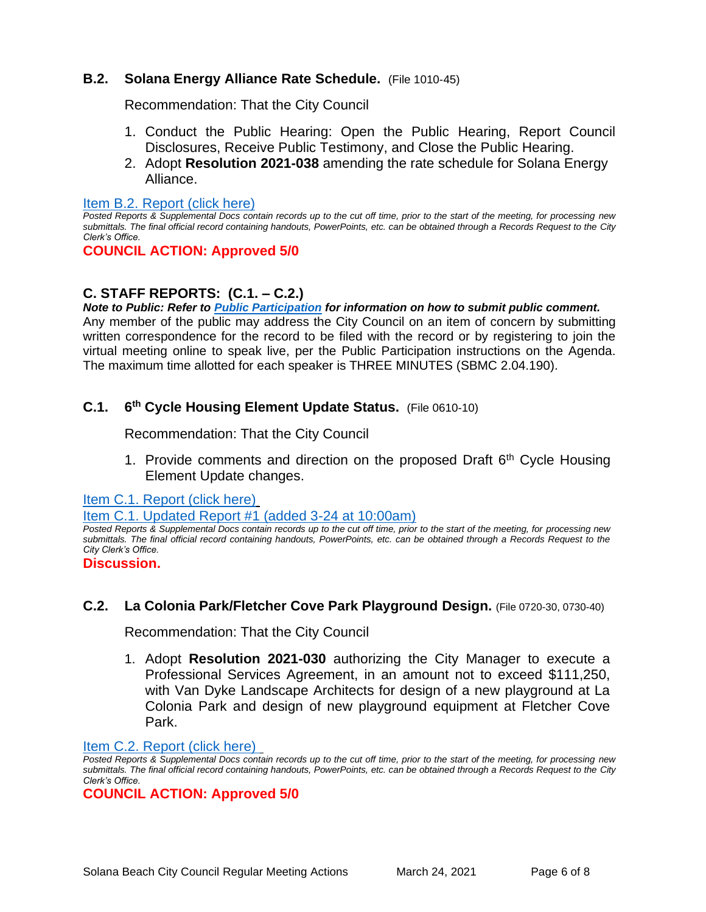# **B.2. Solana Energy Alliance Rate Schedule.** (File 1010-45)

Recommendation: That the City Council

- 1. Conduct the Public Hearing: Open the Public Hearing, Report Council Disclosures, Receive Public Testimony, and Close the Public Hearing.
- 2. Adopt **Resolution 2021-038** amending the rate schedule for Solana Energy Alliance.

#### [Item B.2. Report \(click here\)](https://solanabeach.govoffice3.com/vertical/Sites/%7B840804C2-F869-4904-9AE3-720581350CE7%7D/uploads/Item_B.2._Report_(click_here)_03-24-21_O.pdf)

*Posted Reports & Supplemental Docs contain records up to the cut off time, prior to the start of the meeting, for processing new submittals. The final official record containing handouts, PowerPoints, etc. can be obtained through a Records Request to the City Clerk's Office.*

### **COUNCIL ACTION: Approved 5/0**

# **C. STAFF REPORTS: (C.1. – C.2.)**

*Note to Public: Refer to Public Participation for information on how to submit public comment.*  Any member of the public may address the City Council on an item of concern by submitting written correspondence for the record to be filed with the record or by registering to join the virtual meeting online to speak live, per the Public Participation instructions on the Agenda. The maximum time allotted for each speaker is THREE MINUTES (SBMC 2.04.190).

#### **C.1. 6 th Cycle Housing Element Update Status.** (File 0610-10)

Recommendation: That the City Council

1. Provide comments and direction on the proposed Draft  $6<sup>th</sup>$  Cycle Housing Element Update changes.

[Item C.1. Report \(click here\)](https://solanabeach.govoffice3.com/vertical/Sites/%7B840804C2-F869-4904-9AE3-720581350CE7%7D/uploads/Item_C.1._Report_(click_here)_03-24-21_O.pdf)

[Item C.1. Updated Report #1 \(added 3-24 at 10:00am\)](https://solanabeach.govoffice3.com/vertical/Sites/%7B840804C2-F869-4904-9AE3-720581350CE7%7D/uploads/Item_C.1._Updated_Report_1_(Updated_3-24_at_9am).pdf)

*Posted Reports & Supplemental Docs contain records up to the cut off time, prior to the start of the meeting, for processing new submittals. The final official record containing handouts, PowerPoints, etc. can be obtained through a Records Request to the City Clerk's Office.*

#### **Discussion.**

### **C.2. La Colonia Park/Fletcher Cove Park Playground Design.** (File 0720-30, 0730-40)

Recommendation: That the City Council

1. Adopt **Resolution 2021-030** authorizing the City Manager to execute a Professional Services Agreement, in an amount not to exceed \$111,250, with Van Dyke Landscape Architects for design of a new playground at La Colonia Park and design of new playground equipment at Fletcher Cove Park.

#### [Item C.2. Report](https://solanabeach.govoffice3.com/vertical/Sites/%7B840804C2-F869-4904-9AE3-720581350CE7%7D/uploads/Item_C.2._Report_(click_here)_03-24-21_O.pdf) (click here)

*Posted Reports & Supplemental Docs contain records up to the cut off time, prior to the start of the meeting, for processing new submittals. The final official record containing handouts, PowerPoints, etc. can be obtained through a Records Request to the City Clerk's Office.*

### **COUNCIL ACTION: Approved 5/0**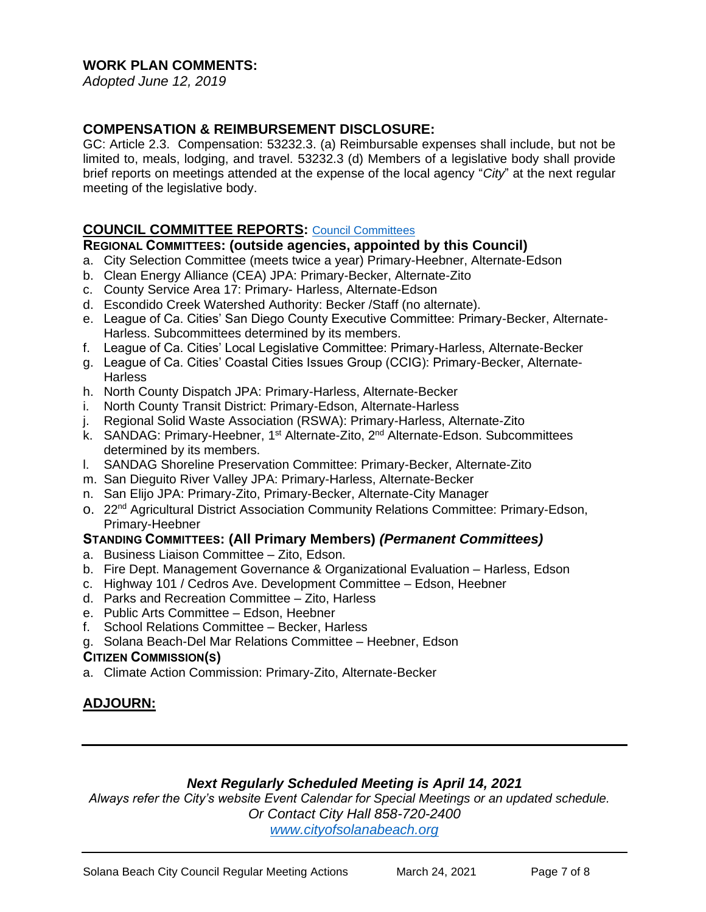# **WORK PLAN COMMENTS:**

*Adopted June 12, 2019*

# **COMPENSATION & REIMBURSEMENT DISCLOSURE:**

GC: Article 2.3. Compensation: 53232.3. (a) Reimbursable expenses shall include, but not be limited to, meals, lodging, and travel. 53232.3 (d) Members of a legislative body shall provide brief reports on meetings attended at the expense of the local agency "*City*" at the next regular meeting of the legislative body.

# **COUNCIL COMMITTEE REPORTS:** [Council Committees](https://www.ci.solana-beach.ca.us/index.asp?SEC=584E1192-3850-46EA-B977-088AC3E81E0D&Type=B_BASIC)

### **REGIONAL COMMITTEES: (outside agencies, appointed by this Council)**

- a. City Selection Committee (meets twice a year) Primary-Heebner, Alternate-Edson
- b. Clean Energy Alliance (CEA) JPA: Primary-Becker, Alternate-Zito
- c. County Service Area 17: Primary- Harless, Alternate-Edson
- d. Escondido Creek Watershed Authority: Becker /Staff (no alternate).
- e. League of Ca. Cities' San Diego County Executive Committee: Primary-Becker, Alternate-Harless. Subcommittees determined by its members.
- f. League of Ca. Cities' Local Legislative Committee: Primary-Harless, Alternate-Becker
- g. League of Ca. Cities' Coastal Cities Issues Group (CCIG): Primary-Becker, Alternate-**Harless**
- h. North County Dispatch JPA: Primary-Harless, Alternate-Becker
- i. North County Transit District: Primary-Edson, Alternate-Harless
- j. Regional Solid Waste Association (RSWA): Primary-Harless, Alternate-Zito
- k. SANDAG: Primary-Heebner, 1<sup>st</sup> Alternate-Zito, 2<sup>nd</sup> Alternate-Edson. Subcommittees determined by its members.
- l. SANDAG Shoreline Preservation Committee: Primary-Becker, Alternate-Zito
- m. San Dieguito River Valley JPA: Primary-Harless, Alternate-Becker
- n. San Elijo JPA: Primary-Zito, Primary-Becker, Alternate-City Manager
- o. 22nd Agricultural District Association Community Relations Committee: Primary-Edson, Primary-Heebner

### **STANDING COMMITTEES: (All Primary Members)** *(Permanent Committees)*

- a. Business Liaison Committee Zito, Edson.
- b. Fire Dept. Management Governance & Organizational Evaluation Harless, Edson
- c. Highway 101 / Cedros Ave. Development Committee Edson, Heebner
- d. Parks and Recreation Committee Zito, Harless
- e. Public Arts Committee Edson, Heebner
- f. School Relations Committee Becker, Harless
- g. Solana Beach-Del Mar Relations Committee Heebner, Edson

### **CITIZEN COMMISSION(S)**

a. Climate Action Commission: Primary-Zito, Alternate-Becker

# **ADJOURN:**

# *Next Regularly Scheduled Meeting is April 14, 2021*

*Always refer the City's website Event Calendar for Special Meetings or an updated schedule. Or Contact City Hall 858-720-2400*

*[www.cityofsolanabeach.org](http://www.cityofsolanabeach.org/)*